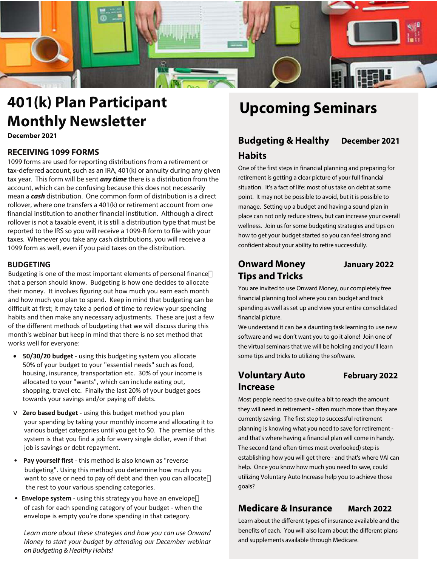

# **401(k) Plan Participant Monthly Newsletter**

**December 2021**

### **RECEIVING 1099 FORMS**

1099 forms are used for reporting distributions from a retirement or tax-deferred account, such as an IRA, 401(k) or annuity during any given tax year. This form will be sent **any time** there is a distribution from the account, which can be confusing because this does not necessarily mean a **cash** distribution. One common form of distribution is a direct rollover, where one transfers a 401(k) or retirement account from one financial institution to another financial institution. Although a direct rollover is not a taxable event, it is still a distribution type that must be reported to the IRS so you will receive a 1099-R form to file with your taxes. Whenever you take any cash distributions, you will receive a 1099 form as well, even if you paid taxes on the distribution.

### **BUDGETING**

Budgeting is one of the most important elements of personal finance that a person should know. Budgeting is how one decides to allocate their money. It involves figuring out how much you earn each month and how much you plan to spend. Keep in mind that budgeting can be difficult at first; it may take a period of time to review your spending habits and then make any necessary adjustments. These are just a few of the different methods of budgeting that we will discuss during this month's webinar but keep in mind that there is no set method that works well for everyone:

- **50/30/20 budget** using this budgeting system you allocate 50% of your budget to your "essential needs" such as food, housing, insurance, transportation etc. 30% of your income is allocated to your "wants", which can include eating out, shopping, travel etc. Finally the last 20% of your budget goes towards your savings and/or paying off debts.
- $\nabla$  **Zero based budget** using this budget method you plan your spending by taking your monthly income and allocating it to various budget categories until you get to \$0. The premise of this system is that you find a job for every single dollar, even if that job is savings or debt repayment.
- **Pay yourself first** this method is also known as "reverse budgeting". Using this method you determine how much you want to save or need to pay off debt and then you can allocate the rest to your various spending categories.
- **Envelope system** using this strategy you have an envelope of cash for each spending category of your budget - when the envelope is empty you're done spending in that category.

Learn more about these strategies and how you can use Onward Money to start your budget by attending our December webinar on Budgeting & Healthy Habits!

# **Upcoming Seminars**

# **Budgeting & Healthy December 2021 Habits**

One of the first steps in financial planning and preparing for retirement is getting a clear picture of your full financial situation. It's a fact of life: most of us take on debt at some point. It may not be possible to avoid, but it is possible to manage. Setting up a budget and having a sound plan in place can not only reduce stress, but can increase your overall wellness. Join us for some budgeting strategies and tips on how to get your budget started so you can feel strong and confident about your ability to retire successfully.

# **Onward Money January 2022 Tips and Tricks**

You are invited to use Onward Money, our completely free financial planning tool where you can budget and track spending as well as set up and view your entire consolidated financial picture.

We understand it can be a daunting task learning to use new software and we don't want you to go it alone! Join one of the virtual seminars that we will be holding and you'll learn some tips and tricks to utilizing the software.

# **Voluntary Auto February 2022 Increase**

Most people need to save quite a bit to reach the amount they will need in retirement - often much more than they are currently saving. The first step to successful retirement planning is knowing what you need to save for retirement and that's where having a financial plan will come in handy. The second (and often-times most overlooked) step is establishing how you will get there - and that's where VAI can help. Once you know how much you need to save, could utilizing Voluntary Auto Increase help you to achieve those goals?

# **Medicare & Insurance March 2022**

Learn about the different types of insurance available and the benefits of each. You will also learn about the different plans and supplements available through Medicare.